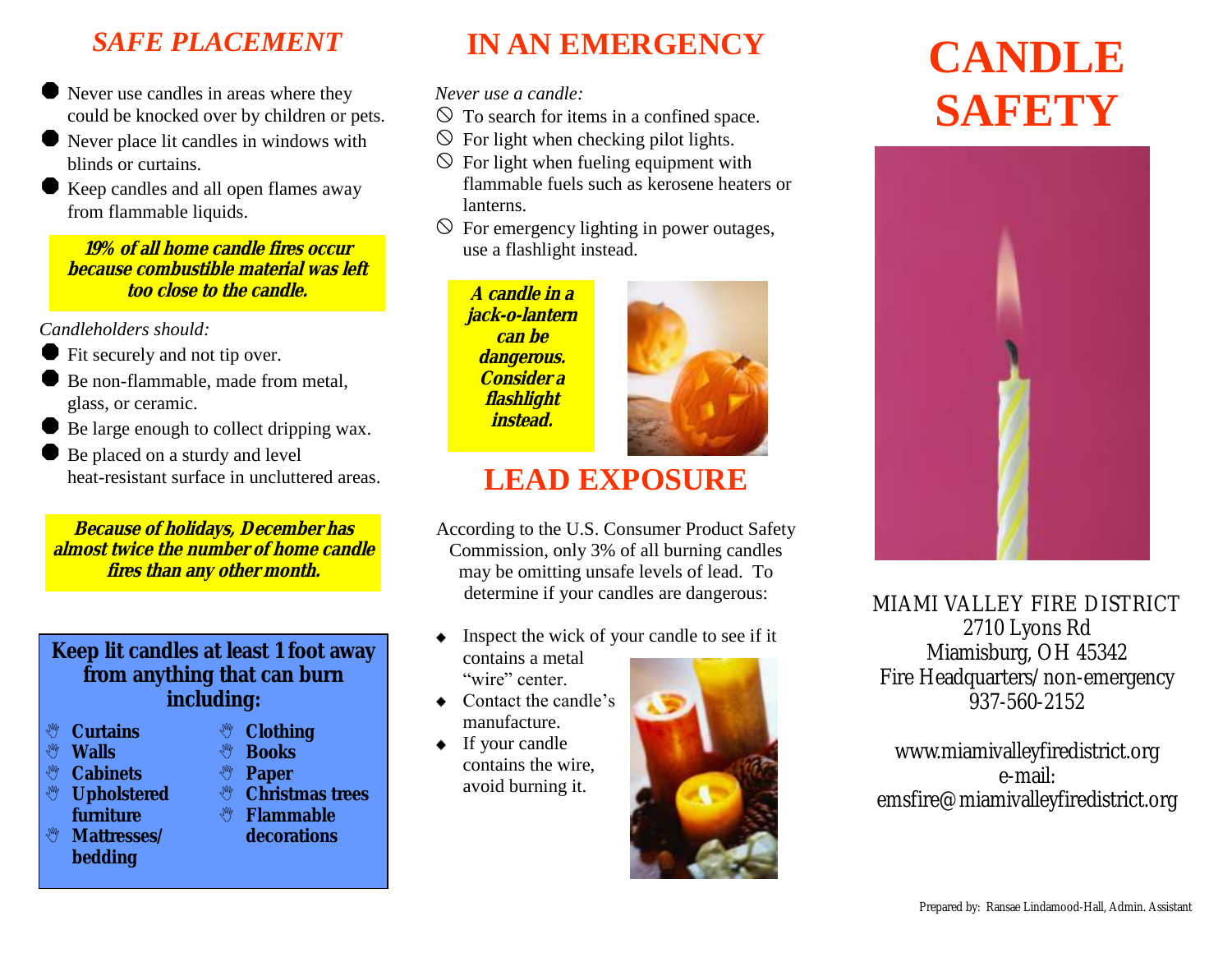### *SAFE PLACEMENT*

- Never use candles in areas where they could be knocked over by children or pets.
- Never place lit candles in windows with blinds or curtains.
- Keep candles and all open flames away from flammable liquids.

**19% of all home candle fires occur because combustible material was left too close to the candle.**

*Candleholders should:*

- Fit securely and not tip over.
- Be non-flammable, made from metal, glass, or ceramic.
- Be large enough to collect dripping wax.
- Be placed on a sturdy and level heat-resistant surface in uncluttered areas.

**Because of holidays, December has almost twice the number of home candle fires than any other month.**

### **Keep lit candles at least 1 foot away from anything that can burn including:**

- **Curtains**
- **Walls**
- **& Cabinets Upholstered**
- **furniture**
- **Mattresses/ bedding**
- **<sup>赞</sup> Clothing**<br><sup>、赞</sup> Books
- **<sup>\$</sup>** Books<br>、 Paner
	- **Paper**
- **Christmas trees**

#### **Flammable decorations**

# **IN AN EMERGENCY**

*Never use a candle:*

- $\circledcirc$  To search for items in a confined space.
- $\circledcirc$  For light when checking pilot lights.
- $\circled{}$  For light when fueling equipment with flammable fuels such as kerosene heaters or lanterns.
- $\Diamond$  For emergency lighting in power outages, use a flashlight instead.

**A candle in a jack-o-lantern can be dangerous. Consider a flashlight instead.**



# **LEAD EXPOSURE**

According to the U.S. Consumer Product Safety Commission, only 3% of all burning candles may be omitting unsafe levels of lead. To determine if your candles are dangerous:

- Inspect the wick of your candle to see if it ٠ contains a metal "wire" center.
- Contact the candle's manufacture.
- If your candle contains the wire, avoid burning it.



# **CANDLE SAFETY**



MIAMI VALLEY FIRE DISTRICT 2710 Lyons Rd Miamisburg, OH 45342 Fire Headquarters/non-emergency 937-560-2152

www.miamivalleyfiredistrict.org e-mail: emsfire@miamivalleyfiredistrict.org